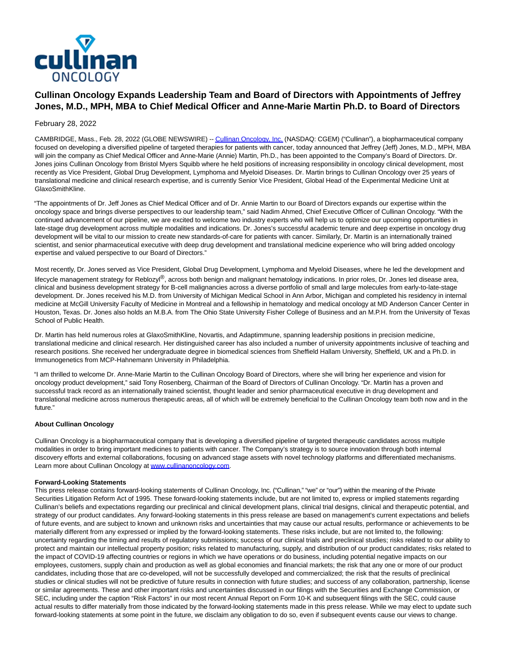

# **Cullinan Oncology Expands Leadership Team and Board of Directors with Appointments of Jeffrey Jones, M.D., MPH, MBA to Chief Medical Officer and Anne-Marie Martin Ph.D. to Board of Directors**

## February 28, 2022

CAMBRIDGE, Mass., Feb. 28, 2022 (GLOBE NEWSWIRE) -[- Cullinan Oncology, Inc. \(](https://www.globenewswire.com/Tracker?data=DwQJVPv27zPCjnZMobbIfNVt3zP2jq44rl98WyOmDZnO6MB7aEYxVMmU4IPd7i5_uSBw7hXN1J6gq2Iri9inDd5UWW35MphMWWhftqwFWgQ=)NASDAQ: CGEM) ("Cullinan"), a biopharmaceutical company focused on developing a diversified pipeline of targeted therapies for patients with cancer, today announced that Jeffrey (Jeff) Jones, M.D., MPH, MBA will join the company as Chief Medical Officer and Anne-Marie (Annie) Martin, Ph.D., has been appointed to the Company's Board of Directors. Dr. Jones joins Cullinan Oncology from Bristol Myers Squibb where he held positions of increasing responsibility in oncology clinical development, most recently as Vice President, Global Drug Development, Lymphoma and Myeloid Diseases. Dr. Martin brings to Cullinan Oncology over 25 years of translational medicine and clinical research expertise, and is currently Senior Vice President, Global Head of the Experimental Medicine Unit at GlaxoSmithKline.

"The appointments of Dr. Jeff Jones as Chief Medical Officer and of Dr. Annie Martin to our Board of Directors expands our expertise within the oncology space and brings diverse perspectives to our leadership team," said Nadim Ahmed, Chief Executive Officer of Cullinan Oncology. "With the continued advancement of our pipeline, we are excited to welcome two industry experts who will help us to optimize our upcoming opportunities in late-stage drug development across multiple modalities and indications. Dr. Jones's successful academic tenure and deep expertise in oncology drug development will be vital to our mission to create new standards-of-care for patients with cancer. Similarly, Dr. Martin is an internationally trained scientist, and senior pharmaceutical executive with deep drug development and translational medicine experience who will bring added oncology expertise and valued perspective to our Board of Directors."

Most recently, Dr. Jones served as Vice President, Global Drug Development, Lymphoma and Myeloid Diseases, where he led the development and lifecycle management strategy for Reblozyl<sup>®</sup>, across both benign and malignant hematology indications. In prior roles, Dr. Jones led disease area, clinical and business development strategy for B-cell malignancies across a diverse portfolio of small and large molecules from early-to-late-stage development. Dr. Jones received his M.D. from University of Michigan Medical School in Ann Arbor, Michigan and completed his residency in internal medicine at McGill University Faculty of Medicine in Montreal and a fellowship in hematology and medical oncology at MD Anderson Cancer Center in Houston, Texas. Dr. Jones also holds an M.B.A. from The Ohio State University Fisher College of Business and an M.P.H. from the University of Texas School of Public Health.

Dr. Martin has held numerous roles at GlaxoSmithKline, Novartis, and Adaptimmune, spanning leadership positions in precision medicine, translational medicine and clinical research. Her distinguished career has also included a number of university appointments inclusive of teaching and research positions. She received her undergraduate degree in biomedical sciences from Sheffield Hallam University, Sheffield, UK and a Ph.D. in Immunogenetics from MCP-Hahnemann University in Philadelphia.

"I am thrilled to welcome Dr. Anne-Marie Martin to the Cullinan Oncology Board of Directors, where she will bring her experience and vision for oncology product development," said Tony Rosenberg, Chairman of the Board of Directors of Cullinan Oncology. "Dr. Martin has a proven and successful track record as an internationally trained scientist, thought leader and senior pharmaceutical executive in drug development and translational medicine across numerous therapeutic areas, all of which will be extremely beneficial to the Cullinan Oncology team both now and in the future."

#### **About Cullinan Oncology**

Cullinan Oncology is a biopharmaceutical company that is developing a diversified pipeline of targeted therapeutic candidates across multiple modalities in order to bring important medicines to patients with cancer. The Company's strategy is to source innovation through both internal discovery efforts and external collaborations, focusing on advanced stage assets with novel technology platforms and differentiated mechanisms. Learn more about Cullinan Oncology a[t www.cullinanoncology.com](https://www.globenewswire.com/Tracker?data=u5suoYGDXGgZsScBj2RPI0Ba_ZezuElZTa9kABwlKcGOcHqbb6gL0zGgLu6BHWzlryLWULudVEF-YA_2QNg1e_3PMnZaQr18av5xqQCj-EE=). 

#### **Forward-Looking Statements**

This press release contains forward-looking statements of Cullinan Oncology, Inc. ("Cullinan," "we" or "our") within the meaning of the Private Securities Litigation Reform Act of 1995. These forward-looking statements include, but are not limited to, express or implied statements regarding Cullinan's beliefs and expectations regarding our preclinical and clinical development plans, clinical trial designs, clinical and therapeutic potential, and strategy of our product candidates. Any forward-looking statements in this press release are based on management's current expectations and beliefs of future events, and are subject to known and unknown risks and uncertainties that may cause our actual results, performance or achievements to be materially different from any expressed or implied by the forward-looking statements. These risks include, but are not limited to, the following: uncertainty regarding the timing and results of regulatory submissions; success of our clinical trials and preclinical studies; risks related to our ability to protect and maintain our intellectual property position; risks related to manufacturing, supply, and distribution of our product candidates; risks related to the impact of COVID-19 affecting countries or regions in which we have operations or do business, including potential negative impacts on our employees, customers, supply chain and production as well as global economies and financial markets; the risk that any one or more of our product candidates, including those that are co-developed, will not be successfully developed and commercialized; the risk that the results of preclinical studies or clinical studies will not be predictive of future results in connection with future studies; and success of any collaboration, partnership, license or similar agreements. These and other important risks and uncertainties discussed in our filings with the Securities and Exchange Commission, or SEC, including under the caption "Risk Factors" in our most recent Annual Report on Form 10-K and subsequent filings with the SEC, could cause actual results to differ materially from those indicated by the forward-looking statements made in this press release. While we may elect to update such forward-looking statements at some point in the future, we disclaim any obligation to do so, even if subsequent events cause our views to change.